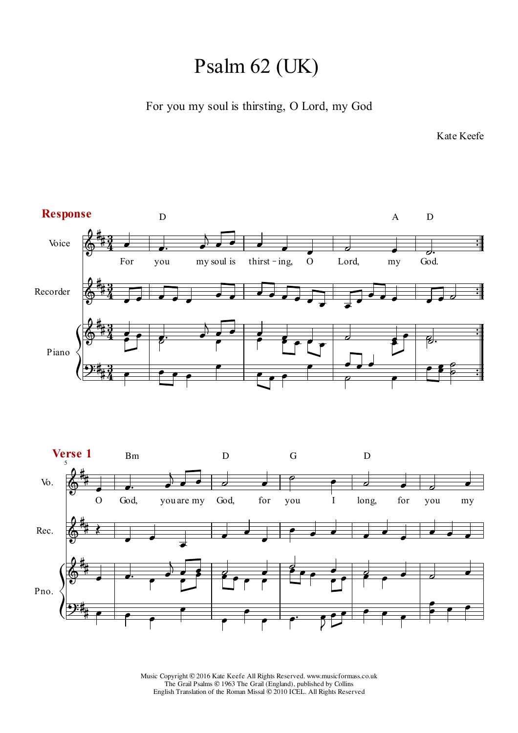## Psalm 62 (UK)

For you my soul is thirsting, O Lord, my God

Kate Keefe

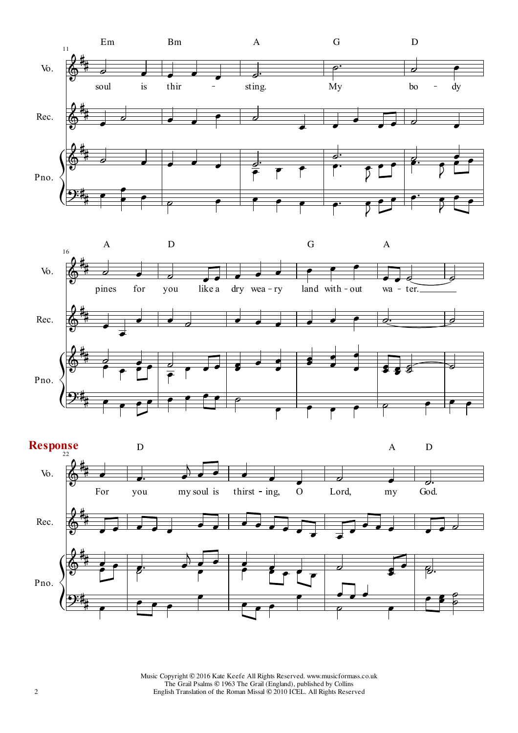



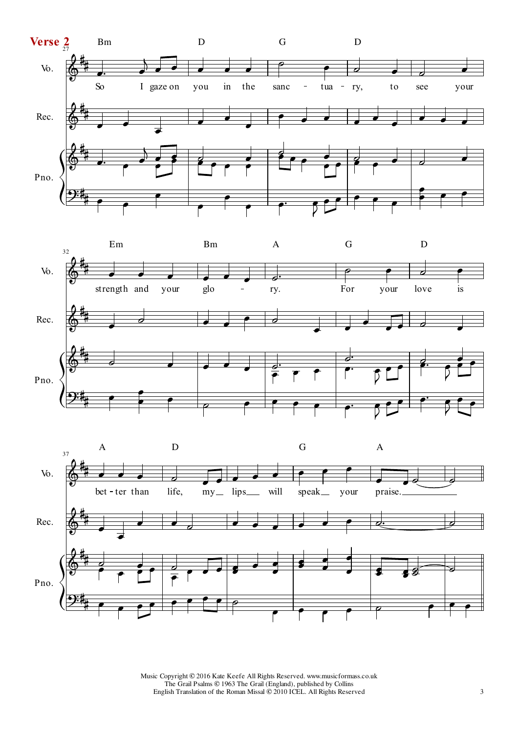



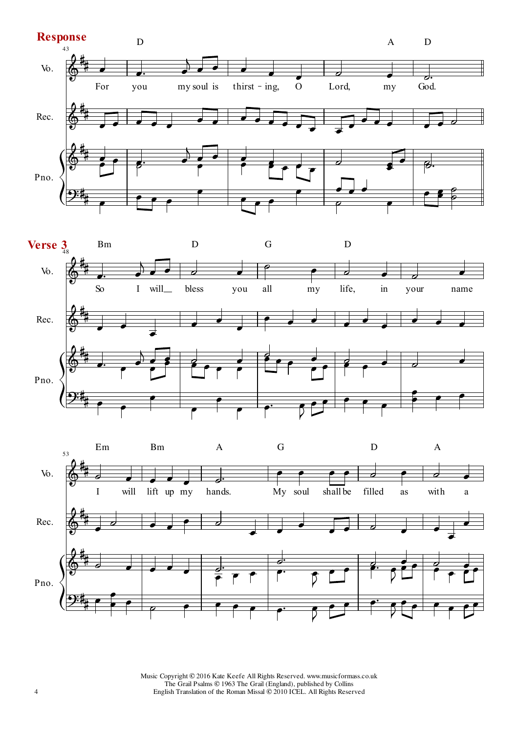



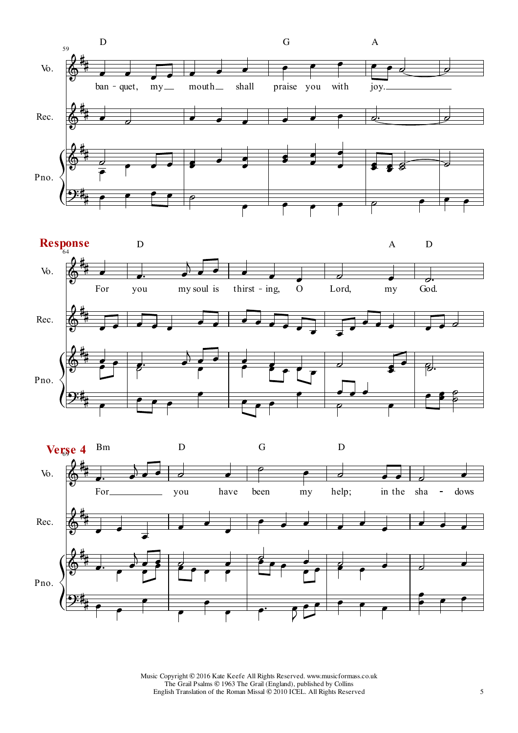